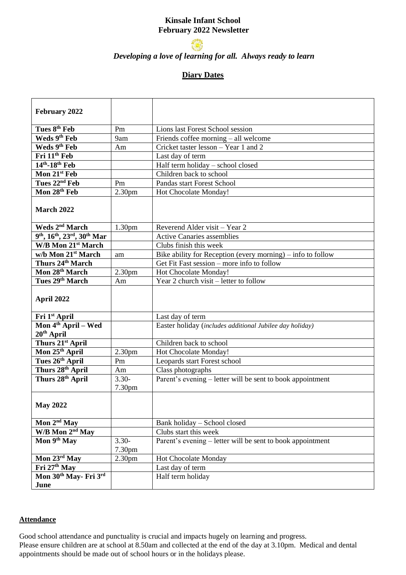# **Kinsale Infant School February 2022 Newsletter**



# *Developing a love of learning for all. Always ready to learn*

## **Diary Dates**

| February 2022                      |                    |                                                               |  |  |
|------------------------------------|--------------------|---------------------------------------------------------------|--|--|
|                                    |                    |                                                               |  |  |
| Tues 8 <sup>th</sup> Feb           | Pm                 | Lions last Forest School session                              |  |  |
| Weds 9th Feb                       | 9am                | Friends coffee morning – all welcome                          |  |  |
| Weds 9th Feb                       | Am                 | Cricket taster lesson – Year 1 and 2                          |  |  |
| Fri 11 <sup>th</sup> Feb           |                    | Last day of term                                              |  |  |
| $14th - 18th$ Feb                  |                    | Half term holiday - school closed                             |  |  |
| Mon 21st Feb                       |                    | Children back to school                                       |  |  |
| Tues 22 <sup>nd</sup> Feb          | Pm                 | Pandas start Forest School                                    |  |  |
| Mon 28th Feb                       | 2.30 <sub>pm</sub> | Hot Chocolate Monday!                                         |  |  |
| <b>March 2022</b>                  |                    |                                                               |  |  |
| Weds 2 <sup>nd</sup> March         | 1.30 <sub>pm</sub> | Reverend Alder visit – Year 2                                 |  |  |
| 9th, 16th, 23rd, 30th Mar          |                    | <b>Active Canaries assemblies</b>                             |  |  |
| W/B Mon 21 <sup>st</sup> March     |                    | Clubs finish this week                                        |  |  |
| w/b Mon 21st March                 | am                 | Bike ability for Reception (every morning) $-$ info to follow |  |  |
| Thurs 24 <sup>th</sup> March       |                    | Get Fit Fast session – more info to follow                    |  |  |
| Mon 28 <sup>th</sup> March         | 2.30pm             | Hot Chocolate Monday!                                         |  |  |
| Tues 29th March                    | Am                 | Year 2 church visit – letter to follow                        |  |  |
| April 2022                         |                    |                                                               |  |  |
| Fri 1st April                      |                    | Last day of term                                              |  |  |
| Mon 4 <sup>th</sup> April – Wed    |                    | Easter holiday (includes additional Jubilee day holiday)      |  |  |
| $20th$ April                       |                    |                                                               |  |  |
| Thurs 21st April                   |                    | Children back to school                                       |  |  |
| Mon 25 <sup>th</sup> April         | 2.30 <sub>pm</sub> | Hot Chocolate Monday!                                         |  |  |
| Tues 26th April                    | Pm                 | Leopards start Forest school                                  |  |  |
| Thurs 28 <sup>th</sup> April       | Am                 | Class photographs                                             |  |  |
| Thurs 28th April                   | $3.30 -$           | Parent's evening – letter will be sent to book appointment    |  |  |
|                                    | 7.30pm             |                                                               |  |  |
| <b>May 2022</b>                    |                    |                                                               |  |  |
| Mon 2 <sup>nd</sup> May            |                    | Bank holiday - School closed                                  |  |  |
| W/B Mon 2 <sup>nd</sup> May        |                    | Clubs start this week                                         |  |  |
| Mon 9th May                        | $3.30-$<br>7.30pm  | Parent's evening – letter will be sent to book appointment    |  |  |
| Mon 23rd May                       | 2.30 <sub>pm</sub> | Hot Chocolate Monday                                          |  |  |
| Fri 27 <sup>th</sup> May           |                    | Last day of term                                              |  |  |
| Mon $30^{th}$ May- Fri 3rd<br>June |                    | Half term holiday                                             |  |  |

#### **Attendance**

Good school attendance and punctuality is crucial and impacts hugely on learning and progress. Please ensure children are at school at 8.50am and collected at the end of the day at 3.10pm. Medical and dental appointments should be made out of school hours or in the holidays please.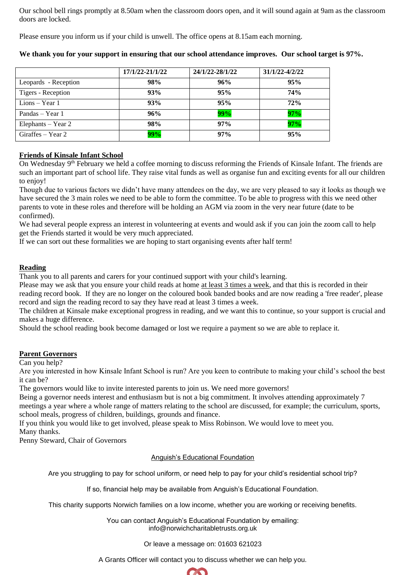Our school bell rings promptly at 8.50am when the classroom doors open, and it will sound again at 9am as the classroom doors are locked.

Please ensure you inform us if your child is unwell. The office opens at 8.15am each morning.

|                      | 17/1/22-21/1/22 | 24/1/22-28/1/22 | 31/1/22-4/2/22 |
|----------------------|-----------------|-----------------|----------------|
| Leopards - Reception | 98%             | 96%             | 95%            |
| Tigers - Reception   | 93%             | 95%             | 74%            |
| Lions $-$ Year 1     | 93%             | 95%             | 72%            |
| Pandas – Year 1      | 96%             | 99%             | 97%            |
| Elephants – Year $2$ | 98%             | 97%             | 97%            |
| Giraffes $-$ Year 2  | 99%             | 97%             | 95%            |

**We thank you for your support in ensuring that our school attendance improves. Our school target is 97%.**

## **Friends of Kinsale Infant School**

On Wednesday 9<sup>th</sup> February we held a coffee morning to discuss reforming the Friends of Kinsale Infant. The friends are such an important part of school life. They raise vital funds as well as organise fun and exciting events for all our children to enjoy!

Though due to various factors we didn't have many attendees on the day, we are very pleased to say it looks as though we have secured the 3 main roles we need to be able to form the committee. To be able to progress with this we need other parents to vote in these roles and therefore will be holding an AGM via zoom in the very near future (date to be confirmed).

We had several people express an interest in volunteering at events and would ask if you can join the zoom call to help get the Friends started it would be very much appreciated.

If we can sort out these formalities we are hoping to start organising events after half term!

## **Reading**

Thank you to all parents and carers for your continued support with your child's learning.

Please may we ask that you ensure your child reads at home at least 3 times a week, and that this is recorded in their reading record book. If they are no longer on the coloured book banded books and are now reading a 'free reader', please record and sign the reading record to say they have read at least 3 times a week.

The children at Kinsale make exceptional progress in reading, and we want this to continue, so your support is crucial and makes a huge difference.

Should the school reading book become damaged or lost we require a payment so we are able to replace it.

## **Parent Governors**

Can you help?

Are you interested in how Kinsale Infant School is run? Are you keen to contribute to making your child's school the best it can be?

The governors would like to invite interested parents to join us. We need more governors!

Being a governor needs interest and enthusiasm but is not a big commitment. It involves attending approximately 7 meetings a year where a whole range of matters relating to the school are discussed, for example; the curriculum, sports, school meals, progress of children, buildings, grounds and finance.

If you think you would like to get involved, please speak to Miss Robinson. We would love to meet you. Many thanks.

Penny Steward, Chair of Governors

## Anguish's Educational Foundation

Are you struggling to pay for school uniform, or need help to pay for your child's residential school trip?

If so, financial help may be available from Anguish's Educational Foundation.

This charity supports Norwich families on a low income, whether you are working or receiving benefits.

You can contact Anguish's Educational Foundation by emailing: info@norwichcharitabletrusts.org.uk

Or leave a message on: 01603 621023

A Grants Officer will contact you to discuss whether we can help you.